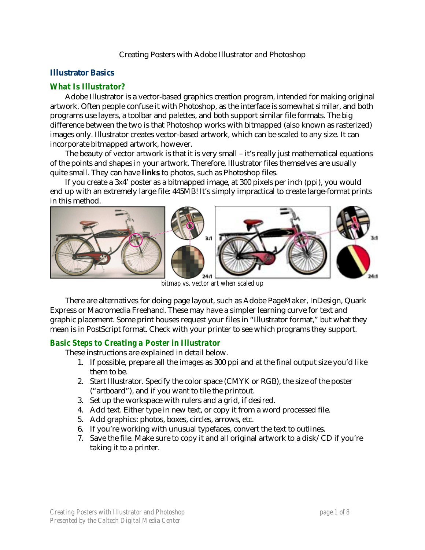## Creating Posters with Adobe Illustrator and Photoshop

# **Illustrator Basics**

## *What Is Illustrator?*

Adobe Illustrator is a vector-based graphics creation program, intended for making original artwork. Often people confuse it with Photoshop, as the interface is somewhat similar, and both programs use layers, a toolbar and palettes, and both support similar file formats. The big difference between the two is that Photoshop works with bitmapped (also known as rasterized) images only. Illustrator creates vector-based artwork, which can be scaled to any size. It can incorporate bitmapped artwork, however.

The beauty of vector artwork is that it is very small – it's really just mathematical equations of the points and shapes in your artwork. Therefore, Illustrator files themselves are usually quite small. They can have **links** to photos, such as Photoshop files.

If you create a 3x4' poster as a bitmapped image, at 300 pixels per inch (ppi), you would end up with an extremely large file: 445MB! It's simply impractical to create large-format prints in this method.



*bitmap vs. vector art when scaled up* 

There are alternatives for doing page layout, such as Adobe PageMaker, InDesign, Quark Express or Macromedia Freehand. These may have a simpler learning curve for text and graphic placement. Some print houses request your files in "Illustrator format," but what they mean is in PostScript format. Check with your printer to see which programs they support.

## *Basic Steps to Creating a Poster in Illustrator*

These instructions are explained in detail below.

- 1. If possible, prepare all the images as 300 ppi and at the final output size you'd like them to be.
- 2. Start Illustrator. Specify the color space (CMYK or RGB), the size of the poster ("artboard"), and if you want to tile the printout.
- 3. Set up the workspace with rulers and a grid, if desired.
- 4. Add text. Either type in new text, or copy it from a word processed file.
- 5. Add graphics: photos, boxes, circles, arrows, etc.
- 6. If you're working with unusual typefaces, convert the text to outlines.
- 7. Save the file. Make sure to copy it and all original artwork to a disk/CD if you're taking it to a printer.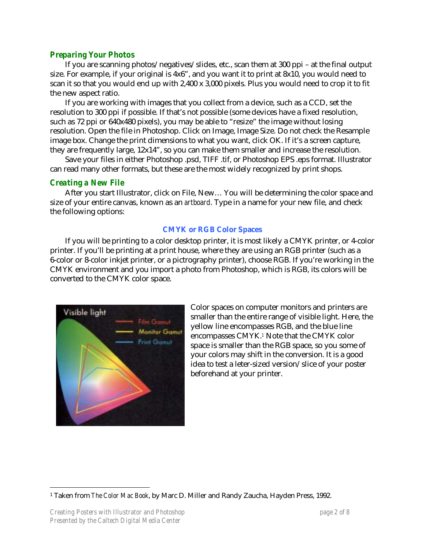# *Preparing Your Photos*

If you are scanning photos/negatives/slides, etc., scan them at 300 ppi – at the final output size. For example, if your original is 4x6", and you want it to print at 8x10, you would need to scan it so that you would end up with 2,400 x 3,000 pixels. Plus you would need to crop it to fit the new aspect ratio.

If you are working with images that you collect from a device, such as a CCD, set the resolution to 300 ppi if possible. If that's not possible (some devices have a fixed resolution, such as 72 ppi or 640x480 pixels), you may be able to "resize" the image without losing resolution. Open the file in Photoshop. Click on Image, Image Size. Do not check the Resample image box. Change the print dimensions to what you want, click OK. If it's a screen capture, they are frequently large, 12x14", so you can make them smaller and increase the resolution.

Save your files in either Photoshop .psd, TIFF .tif, or Photoshop EPS .eps format. Illustrator can read many other formats, but these are the most widely recognized by print shops.

## *Creating a New File*

After you start Illustrator, click on File, New… You will be determining the color space and size of your entire canvas, known as an *artboard*. Type in a name for your new file, and check the following options:

## **CMYK or RGB Color Spaces**

If you will be printing to a color desktop printer, it is most likely a CMYK printer, or 4-color printer. If you'll be printing at a print house, where they are using an RGB printer (such as a 6-color or 8-color inkjet printer, or a pictrography printer), choose RGB. If you're working in the CMYK environment and you import a photo from Photoshop, which is RGB, its colors will be converted to the CMYK color space.



Color spaces on computer monitors and printers are smaller than the entire range of visible light. Here, the yellow line encompasses RGB, and the blue line encompasses CMYK.*[1](#page-1-0)* Note that the CMYK color space is smaller than the RGB space, so you some of your colors may shift in the conversion. It is a good idea to test a leter-sized version/slice of your poster beforehand at your printer.

<span id="page-1-0"></span> <sup>1</sup> Taken from *The Color Mac Book*, by Marc D. Miller and Randy Zaucha, Hayden Press, 1992.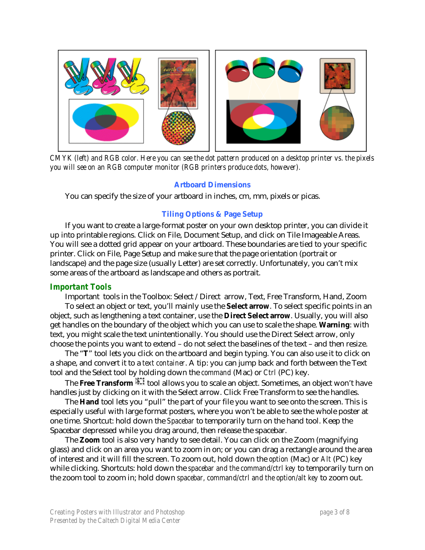

*CMYK (left) and RGB color. Here you can see the dot pattern produced on a desktop printer vs. the pixels you will see on an RGB computer monitor (RGB printers produce dots, however).* 

#### **Artboard Dimensions**

You can specify the size of your artboard in inches, cm, mm, pixels or picas.

## **Tiling Options & Page Setup**

If you want to create a large-format poster on your own desktop printer, you can divide it up into printable regions. Click on File, Document Setup, and click on Tile Imageable Areas. You will see a dotted grid appear on your artboard. These boundaries are tied to your specific printer. Click on File, Page Setup and make sure that the page orientation (portrait or landscape) and the page size (usually Letter) are set correctly. Unfortunately, you can't mix some areas of the artboard as landscape and others as portrait.

## *Important Tools*

Important tools in the Toolbox: Select /Direct arrow, Text, Free Transform, Hand, Zoom To select an object or text, you'll mainly use the **Select arrow**. To select specific points in an object, such as lengthening a text container, use the **Direct Select arrow**. Usually, you will also get handles on the boundary of the object which you can use to scale the shape. **Warning**: with text, you might scale the text unintentionally. You should use the Direct Select arrow, only choose the points you want to extend – do not select the baselines of the text – and then resize.

The "**T**" tool lets you click on the artboard and begin typing. You can also use it to click on a shape, and convert it to a *text container*. A tip: you can jump back and forth between the Text tool and the Select tool by holding down the *command* (Mac) or *Ctrl* (PC) key.

The Free Transform **The Free Transform that** tool allows you to scale an object. Sometimes, an object won't have handles just by clicking on it with the Select arrow. Click Free Transform to see the handles.

The **Hand** tool lets you "pull" the part of your file you want to see onto the screen. This is especially useful with large format posters, where you won't be able to see the whole poster at one time. Shortcut: hold down the *Spacebar* to temporarily turn on the hand tool. Keep the Spacebar depressed while you drag around, then release the spacebar.

The **Zoom** tool is also very handy to see detail. You can click on the Zoom (magnifying glass) and click on an area you want to zoom in on; or you can drag a rectangle around the area of interest and it will fill the screen. To zoom out, hold down the *option* (Mac) or *Alt* (PC) key while clicking. Shortcuts: hold down the *spacebar and the command/ctrl key* to temporarily turn on the zoom tool to zoom in; hold down *spacebar, command/ctrl and the option/alt key* to zoom out.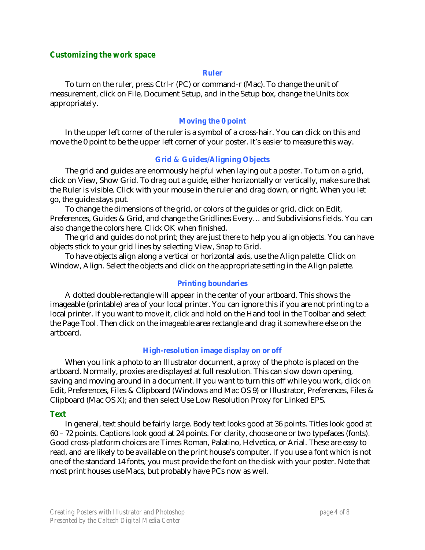## *Customizing the work space*

#### **Ruler**

To turn on the ruler, press Ctrl-r (PC) or command-r (Mac). To change the unit of measurement, click on File, Document Setup, and in the Setup box, change the Units box appropriately.

#### **Moving the 0 point**

In the upper left corner of the ruler is a symbol of a cross-hair. You can click on this and move the 0 point to be the upper left corner of your poster. It's easier to measure this way.

#### **Grid & Guides/Aligning Objects**

The grid and guides are enormously helpful when laying out a poster. To turn on a grid, click on View, Show Grid. To drag out a guide, either horizontally or vertically, make sure that the Ruler is visible. Click with your mouse in the ruler and drag down, or right. When you let go, the guide stays put.

To change the dimensions of the grid, or colors of the guides or grid, click on Edit, Preferences, Guides & Grid, and change the Gridlines Every… and Subdivisions fields. You can also change the colors here. Click OK when finished.

The grid and guides do not print; they are just there to help you align objects. You can have objects stick to your grid lines by selecting View, Snap to Grid.

To have objects align along a vertical or horizontal axis, use the Align palette. Click on Window, Align. Select the objects and click on the appropriate setting in the Align palette.

#### **Printing boundaries**

A dotted double-rectangle will appear in the center of your artboard. This shows the imageable (printable) area of your local printer. You can ignore this if you are not printing to a local printer. If you want to move it, click and hold on the Hand tool in the Toolbar and select the Page Tool. Then click on the imageable area rectangle and drag it somewhere else on the artboard.

#### **High-resolution image display on or off**

When you link a photo to an Illustrator document, a *proxy* of the photo is placed on the artboard. Normally, proxies are displayed at full resolution. This can slow down opening, saving and moving around in a document. If you want to turn this off while you work, click on Edit, Preferences, Files & Clipboard (Windows and Mac OS 9) or Illustrator, Preferences, Files & Clipboard (Mac OS X); and then select Use Low Resolution Proxy for Linked EPS.

#### *Text*

In general, text should be fairly large. Body text looks good at 36 points. Titles look good at 60 – 72 points. Captions look good at 24 points. For clarity, choose one or two typefaces (fonts). Good cross-platform choices are Times Roman, Palatino, Helvetica, or Arial. These are easy to read, and are likely to be available on the print house's computer. If you use a font which is not one of the standard 14 fonts, you must provide the font on the disk with your poster. Note that most print houses use Macs, but probably have PCs now as well.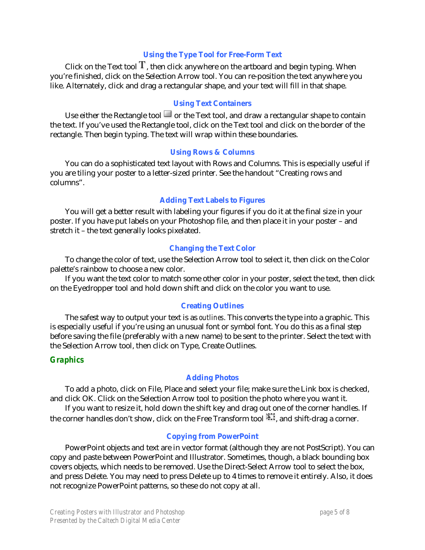## **Using the Type Tool for Free-Form Text**

Click on the Text tool  $T$ , then click anywhere on the artboard and begin typing. When you're finished, click on the Selection Arrow tool. You can re-position the text anywhere you like. Alternately, click and drag a rectangular shape, and your text will fill in that shape.

## **Using Text Containers**

Use either the Rectangle tool  $\Box$  or the Text tool, and draw a rectangular shape to contain the text. If you've used the Rectangle tool, click on the Text tool and click on the border of the rectangle. Then begin typing. The text will wrap within these boundaries.

#### **Using Rows & Columns**

You can do a sophisticated text layout with Rows and Columns. This is especially useful if you are tiling your poster to a letter-sized printer. See the handout "Creating rows and columns".

## **Adding Text Labels to Figures**

You will get a better result with labeling your figures if you do it at the final size in your poster. If you have put labels on your Photoshop file, and then place it in your poster – and stretch it – the text generally looks pixelated.

#### **Changing the Text Color**

To change the color of text, use the Selection Arrow tool to select it, then click on the Color palette's rainbow to choose a new color.

If you want the text color to match some other color in your poster, select the text, then click on the Eyedropper tool and hold down shift and click on the color you want to use.

#### **Creating Outlines**

The safest way to output your text is as *outlines*. This converts the type into a graphic. This is especially useful if you're using an unusual font or symbol font. You do this as a final step before saving the file (preferably with a new name) to be sent to the printer. Select the text with the Selection Arrow tool, then click on Type, Create Outlines.

## *Graphics*

## **Adding Photos**

To add a photo, click on File, Place and select your file; make sure the Link box is checked, and click OK. Click on the Selection Arrow tool to position the photo where you want it.

If you want to resize it, hold down the shift key and drag out one of the corner handles. If the corner handles don't show, click on the Free Transform tool  $\mathbb{H}$ , and shift-drag a corner.

#### **Copying from PowerPoint**

PowerPoint objects and text are in vector format (although they are not PostScript). You can copy and paste between PowerPoint and Illustrator. Sometimes, though, a black bounding box covers objects, which needs to be removed. Use the Direct-Select Arrow tool to select the box, and press Delete. You may need to press Delete up to 4 times to remove it entirely. Also, it does not recognize PowerPoint patterns, so these do not copy at all.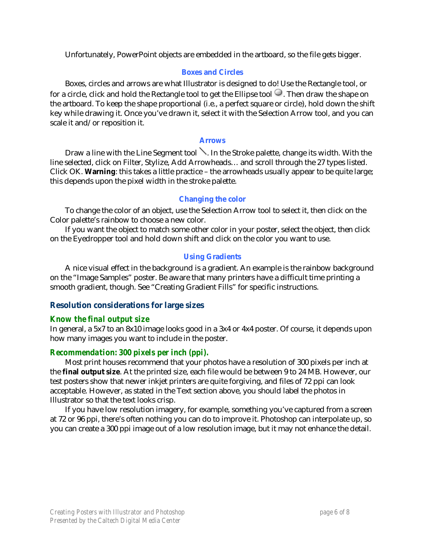Unfortunately, PowerPoint objects are embedded in the artboard, so the file gets bigger.

# **Boxes and Circles**

Boxes, circles and arrows are what Illustrator is designed to do! Use the Rectangle tool, or for a circle, click and hold the Rectangle tool to get the Ellipse tool  $\circ$ . Then draw the shape on the artboard. To keep the shape proportional (i.e., a perfect square or circle), hold down the shift key while drawing it. Once you've drawn it, select it with the Selection Arrow tool, and you can scale it and/or reposition it.

## **Arrows**

Draw a line with the Line Segment tool  $\searrow$ . In the Stroke palette, change its width. With the line selected, click on Filter, Stylize, Add Arrowheads… and scroll through the 27 types listed. Click OK. **Warning**: this takes a little practice – the arrowheads usually appear to be quite large; this depends upon the pixel width in the stroke palette.

## **Changing the color**

To change the color of an object, use the Selection Arrow tool to select it, then click on the Color palette's rainbow to choose a new color.

If you want the object to match some other color in your poster, select the object, then click on the Eyedropper tool and hold down shift and click on the color you want to use.

# **Using Gradients**

A nice visual effect in the background is a gradient. An example is the rainbow background on the "Image Samples" poster. Be aware that many printers have a difficult time printing a smooth gradient, though. See "Creating Gradient Fills" for specific instructions.

# **Resolution considerations for large sizes**

## *Know the final output size*

In general, a 5x7 to an 8x10 image looks good in a 3x4 or 4x4 poster. Of course, it depends upon how many images you want to include in the poster.

# *Recommendation: 300 pixels per inch (ppi).*

Most print houses recommend that your photos have a resolution of 300 pixels per inch at the **final output size**. At the printed size, each file would be between 9 to 24 MB. However, our test posters show that newer inkjet printers are quite forgiving, and files of 72 ppi can look acceptable. However, as stated in the Text section above, you should label the photos in Illustrator so that the text looks crisp.

If you have low resolution imagery, for example, something you've captured from a screen at 72 or 96 ppi, there's often nothing you can do to improve it. Photoshop can interpolate up, so you can create a 300 ppi image out of a low resolution image, but it may not enhance the detail.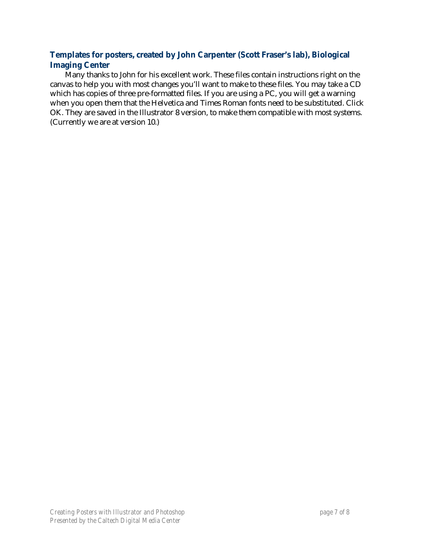# **Templates for posters, created by John Carpenter (Scott Fraser's lab), Biological Imaging Center**

Many thanks to John for his excellent work. These files contain instructions right on the canvas to help you with most changes you'll want to make to these files. You may take a CD which has copies of three pre-formatted files. If you are using a PC, you will get a warning when you open them that the Helvetica and Times Roman fonts need to be substituted. Click OK. They are saved in the Illustrator 8 version, to make them compatible with most systems. (Currently we are at version 10.)